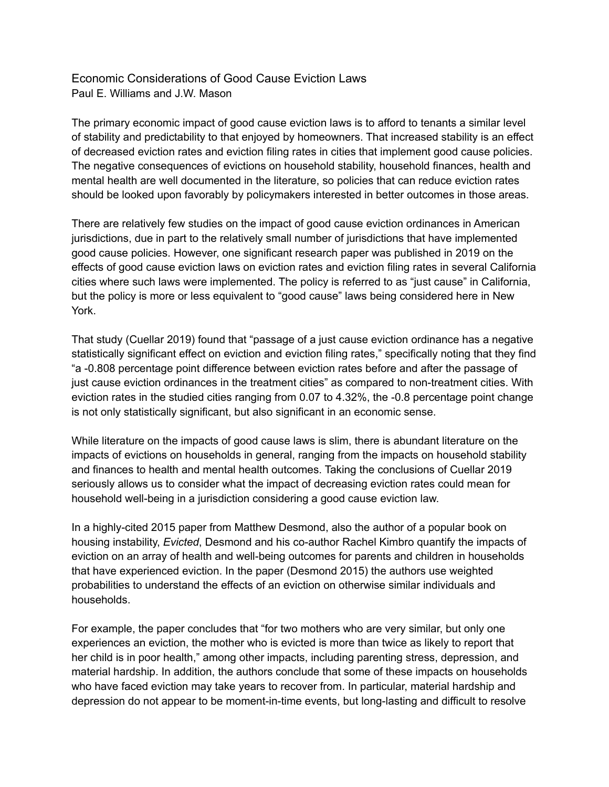Economic Considerations of Good Cause Eviction Laws Paul E. Williams and J.W. Mason

The primary economic impact of good cause eviction laws is to afford to tenants a similar level of stability and predictability to that enjoyed by homeowners. That increased stability is an effect of decreased eviction rates and eviction filing rates in cities that implement good cause policies. The negative consequences of evictions on household stability, household finances, health and mental health are well documented in the literature, so policies that can reduce eviction rates should be looked upon favorably by policymakers interested in better outcomes in those areas.

There are relatively few studies on the impact of good cause eviction ordinances in American jurisdictions, due in part to the relatively small number of jurisdictions that have implemented good cause policies. However, one significant research paper was published in 2019 on the effects of good cause eviction laws on eviction rates and eviction filing rates in several California cities where such laws were implemented. The policy is referred to as "just cause" in California, but the policy is more or less equivalent to "good cause" laws being considered here in New York.

That study (Cuellar 2019) found that "passage of a just cause eviction ordinance has a negative statistically significant effect on eviction and eviction filing rates," specifically noting that they find "a -0.808 percentage point difference between eviction rates before and after the passage of just cause eviction ordinances in the treatment cities" as compared to non-treatment cities. With eviction rates in the studied cities ranging from 0.07 to 4.32%, the -0.8 percentage point change is not only statistically significant, but also significant in an economic sense.

While literature on the impacts of good cause laws is slim, there is abundant literature on the impacts of evictions on households in general, ranging from the impacts on household stability and finances to health and mental health outcomes. Taking the conclusions of Cuellar 2019 seriously allows us to consider what the impact of decreasing eviction rates could mean for household well-being in a jurisdiction considering a good cause eviction law.

In a highly-cited 2015 paper from Matthew Desmond, also the author of a popular book on housing instability, *Evicted*, Desmond and his co-author Rachel Kimbro quantify the impacts of eviction on an array of health and well-being outcomes for parents and children in households that have experienced eviction. In the paper (Desmond 2015) the authors use weighted probabilities to understand the effects of an eviction on otherwise similar individuals and households.

For example, the paper concludes that "for two mothers who are very similar, but only one experiences an eviction, the mother who is evicted is more than twice as likely to report that her child is in poor health," among other impacts, including parenting stress, depression, and material hardship. In addition, the authors conclude that some of these impacts on households who have faced eviction may take years to recover from. In particular, material hardship and depression do not appear to be moment-in-time events, but long-lasting and difficult to resolve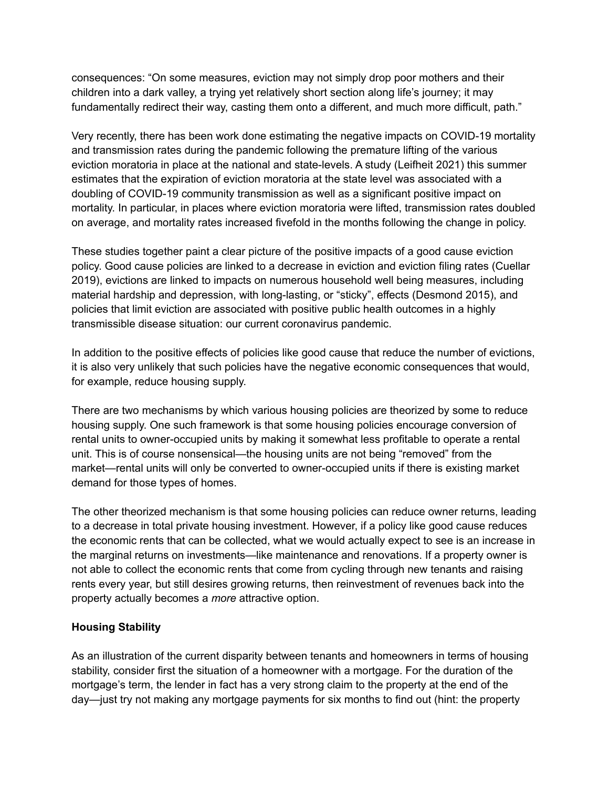consequences: "On some measures, eviction may not simply drop poor mothers and their children into a dark valley, a trying yet relatively short section along life's journey; it may fundamentally redirect their way, casting them onto a different, and much more difficult, path."

Very recently, there has been work done estimating the negative impacts on COVID-19 mortality and transmission rates during the pandemic following the premature lifting of the various eviction moratoria in place at the national and state-levels. A study (Leifheit 2021) this summer estimates that the expiration of eviction moratoria at the state level was associated with a doubling of COVID-19 community transmission as well as a significant positive impact on mortality. In particular, in places where eviction moratoria were lifted, transmission rates doubled on average, and mortality rates increased fivefold in the months following the change in policy.

These studies together paint a clear picture of the positive impacts of a good cause eviction policy. Good cause policies are linked to a decrease in eviction and eviction filing rates (Cuellar 2019), evictions are linked to impacts on numerous household well being measures, including material hardship and depression, with long-lasting, or "sticky", effects (Desmond 2015), and policies that limit eviction are associated with positive public health outcomes in a highly transmissible disease situation: our current coronavirus pandemic.

In addition to the positive effects of policies like good cause that reduce the number of evictions, it is also very unlikely that such policies have the negative economic consequences that would, for example, reduce housing supply.

There are two mechanisms by which various housing policies are theorized by some to reduce housing supply. One such framework is that some housing policies encourage conversion of rental units to owner-occupied units by making it somewhat less profitable to operate a rental unit. This is of course nonsensical—the housing units are not being "removed" from the market—rental units will only be converted to owner-occupied units if there is existing market demand for those types of homes.

The other theorized mechanism is that some housing policies can reduce owner returns, leading to a decrease in total private housing investment. However, if a policy like good cause reduces the economic rents that can be collected, what we would actually expect to see is an increase in the marginal returns on investments—like maintenance and renovations. If a property owner is not able to collect the economic rents that come from cycling through new tenants and raising rents every year, but still desires growing returns, then reinvestment of revenues back into the property actually becomes a *more* attractive option.

## **Housing Stability**

As an illustration of the current disparity between tenants and homeowners in terms of housing stability, consider first the situation of a homeowner with a mortgage. For the duration of the mortgage's term, the lender in fact has a very strong claim to the property at the end of the day—just try not making any mortgage payments for six months to find out (hint: the property